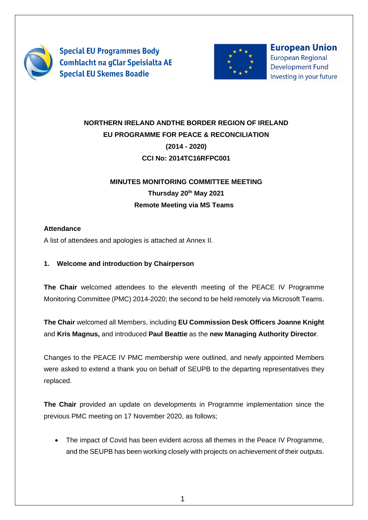

**Special EU Programmes Body Comhlacht na gClar Speisialta AE Special EU Skemes Boadie** 



**European Union European Regional Development Fund** Investing in your future

# **NORTHERN IRELAND ANDTHE BORDER REGION OF IRELAND EU PROGRAMME FOR PEACE & RECONCILIATION (2014 - 2020) CCI No: 2014TC16RFPC001**

# **MINUTES MONITORING COMMITTEE MEETING Thursday 20th May 2021 Remote Meeting via MS Teams**

## **Attendance**

A list of attendees and apologies is attached at Annex II.

## **1. Welcome and introduction by Chairperson**

**The Chair** welcomed attendees to the eleventh meeting of the PEACE IV Programme Monitoring Committee (PMC) 2014-2020; the second to be held remotely via Microsoft Teams.

**The Chair** welcomed all Members, including **EU Commission Desk Officers Joanne Knight**  and **Kris Magnus,** and introduced **Paul Beattie** as the **new Managing Authority Director**.

Changes to the PEACE IV PMC membership were outlined, and newly appointed Members were asked to extend a thank you on behalf of SEUPB to the departing representatives they replaced.

**The Chair** provided an update on developments in Programme implementation since the previous PMC meeting on 17 November 2020, as follows;

• The impact of Covid has been evident across all themes in the Peace IV Programme, and the SEUPB has been working closely with projects on achievement of their outputs.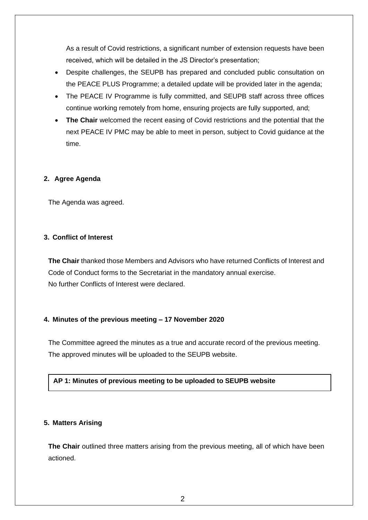As a result of Covid restrictions, a significant number of extension requests have been received, which will be detailed in the JS Director's presentation;

- Despite challenges, the SEUPB has prepared and concluded public consultation on the PEACE PLUS Programme; a detailed update will be provided later in the agenda;
- The PEACE IV Programme is fully committed, and SEUPB staff across three offices continue working remotely from home, ensuring projects are fully supported, and;
- **The Chair** welcomed the recent easing of Covid restrictions and the potential that the next PEACE IV PMC may be able to meet in person, subject to Covid guidance at the time.

#### **2. Agree Agenda**

The Agenda was agreed.

## **3. Conflict of Interest**

**The Chair** thanked those Members and Advisors who have returned Conflicts of Interest and Code of Conduct forms to the Secretariat in the mandatory annual exercise. No further Conflicts of Interest were declared.

#### **4. Minutes of the previous meeting – 17 November 2020**

The Committee agreed the minutes as a true and accurate record of the previous meeting. The approved minutes will be uploaded to the SEUPB website.

## **AP 1: Minutes of previous meeting to be uploaded to SEUPB website**

#### **5. Matters Arising**

**The Chair** outlined three matters arising from the previous meeting, all of which have been actioned.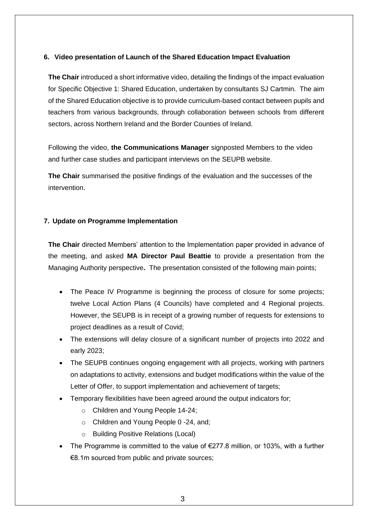#### **6. Video presentation of Launch of the Shared Education Impact Evaluation**

**The Chair** introduced a short informative video, detailing the findings of the impact evaluation for Specific Objective 1: Shared Education, undertaken by consultants SJ Cartmin. The aim of the Shared Education objective is to provide curriculum-based contact between pupils and teachers from various backgrounds, through collaboration between schools from different sectors, across Northern Ireland and the Border Counties of Ireland.

Following the video, **the Communications Manager** signposted Members to the video and further case studies and participant interviews on the SEUPB website.

**The Chair** summarised the positive findings of the evaluation and the successes of the intervention.

#### **7. Update on Programme Implementation**

**The Chair** directed Members' attention to the Implementation paper provided in advance of the meeting, and asked **MA Director Paul Beattie** to provide a presentation from the Managing Authority perspective**.** The presentation consisted of the following main points;

- The Peace IV Programme is beginning the process of closure for some projects; twelve Local Action Plans (4 Councils) have completed and 4 Regional projects. However, the SEUPB is in receipt of a growing number of requests for extensions to project deadlines as a result of Covid;
- The extensions will delay closure of a significant number of projects into 2022 and early 2023;
- The SEUPB continues ongoing engagement with all projects, working with partners on adaptations to activity, extensions and budget modifications within the value of the Letter of Offer, to support implementation and achievement of targets;
- Temporary flexibilities have been agreed around the output indicators for;
	- o Children and Young People 14-24;
	- o Children and Young People 0 -24, and;
	- o Building Positive Relations (Local)
- The Programme is committed to the value of  $E$ 277.8 million, or 103%, with a further €8.1m sourced from public and private sources;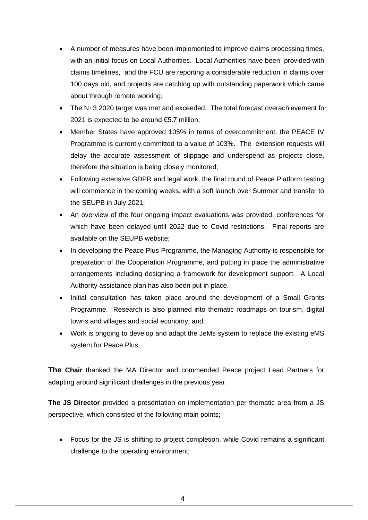- A number of measures have been implemented to improve claims processing times, with an initial focus on Local Authorities. Local Authorities have been provided with claims timelines, and the FCU are reporting a considerable reduction in claims over 100 days old, and projects are catching up with outstanding paperwork which came about through remote working;
- The N+3 2020 target was met and exceeded. The total forecast overachievement for 2021 is expected to be around €5.7 million;
- Member States have approved 105% in terms of overcommitment; the PEACE IV Programme is currently committed to a value of 103%. The extension requests will delay the accurate assessment of slippage and underspend as projects close, therefore the situation is being closely monitored;
- Following extensive GDPR and legal work, the final round of Peace Platform testing will commence in the coming weeks, with a soft launch over Summer and transfer to the SEUPB in July 2021;
- An overview of the four ongoing impact evaluations was provided, conferences for which have been delayed until 2022 due to Covid restrictions. Final reports are available on the SEUPB website;
- In developing the Peace Plus Programme, the Managing Authority is responsible for preparation of the Cooperation Programme, and putting in place the administrative arrangements including designing a framework for development support. A Local Authority assistance plan has also been put in place.
- Initial consultation has taken place around the development of a Small Grants Programme. Research is also planned into thematic roadmaps on tourism, digital towns and villages and social economy, and;
- Work is ongoing to develop and adapt the JeMs system to replace the existing eMS system for Peace Plus.

**The Chair** thanked the MA Director and commended Peace project Lead Partners for adapting around significant challenges in the previous year.

**The JS Director** provided a presentation on implementation per thematic area from a JS perspective, which consisted of the following main points;

• Focus for the JS is shifting to project completion, while Covid remains a significant challenge to the operating environment;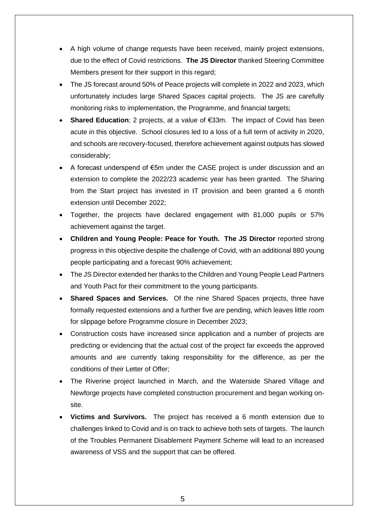- A high volume of change requests have been received, mainly project extensions, due to the effect of Covid restrictions. **The JS Director** thanked Steering Committee Members present for their support in this regard;
- The JS forecast around 50% of Peace projects will complete in 2022 and 2023, which unfortunately includes large Shared Spaces capital projects. The JS are carefully monitoring risks to implementation, the Programme, and financial targets;
- **Shared Education**; 2 projects, at a value of €33m. The impact of Covid has been acute in this objective. School closures led to a loss of a full term of activity in 2020, and schools are recovery-focused, therefore achievement against outputs has slowed considerably;
- A forecast underspend of  $\epsilon$ 5m under the CASE project is under discussion and an extension to complete the 2022/23 academic year has been granted. The Sharing from the Start project has invested in IT provision and been granted a 6 month extension until December 2022;
- Together, the projects have declared engagement with 81,000 pupils or 57% achievement against the target.
- **Children and Young People: Peace for Youth. The JS Director** reported strong progress in this objective despite the challenge of Covid, with an additional 880 young people participating and a forecast 90% achievement;
- The JS Director extended her thanks to the Children and Young People Lead Partners and Youth Pact for their commitment to the young participants.
- **Shared Spaces and Services.** Of the nine Shared Spaces projects, three have formally requested extensions and a further five are pending, which leaves little room for slippage before Programme closure in December 2023;
- Construction costs have increased since application and a number of projects are predicting or evidencing that the actual cost of the project far exceeds the approved amounts and are currently taking responsibility for the difference, as per the conditions of their Letter of Offer;
- The Riverine project launched in March, and the Waterside Shared Village and Newforge projects have completed construction procurement and began working onsite.
- **Victims and Survivors.** The project has received a 6 month extension due to challenges linked to Covid and is on track to achieve both sets of targets. The launch of the Troubles Permanent Disablement Payment Scheme will lead to an increased awareness of VSS and the support that can be offered.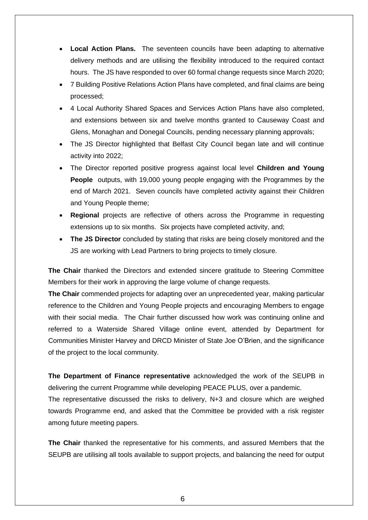- **Local Action Plans.** The seventeen councils have been adapting to alternative delivery methods and are utilising the flexibility introduced to the required contact hours. The JS have responded to over 60 formal change requests since March 2020;
- 7 Building Positive Relations Action Plans have completed, and final claims are being processed;
- 4 Local Authority Shared Spaces and Services Action Plans have also completed, and extensions between six and twelve months granted to Causeway Coast and Glens, Monaghan and Donegal Councils, pending necessary planning approvals;
- The JS Director highlighted that Belfast City Council began late and will continue activity into 2022;
- The Director reported positive progress against local level **Children and Young People** outputs, with 19,000 young people engaging with the Programmes by the end of March 2021. Seven councils have completed activity against their Children and Young People theme;
- **Regional** projects are reflective of others across the Programme in requesting extensions up to six months. Six projects have completed activity, and;
- **The JS Director** concluded by stating that risks are being closely monitored and the JS are working with Lead Partners to bring projects to timely closure.

**The Chair** thanked the Directors and extended sincere gratitude to Steering Committee Members for their work in approving the large volume of change requests.

**The Chair** commended projects for adapting over an unprecedented year, making particular reference to the Children and Young People projects and encouraging Members to engage with their social media. The Chair further discussed how work was continuing online and referred to a Waterside Shared Village online event, attended by Department for Communities Minister Harvey and DRCD Minister of State Joe O'Brien, and the significance of the project to the local community.

**The Department of Finance representative** acknowledged the work of the SEUPB in delivering the current Programme while developing PEACE PLUS, over a pandemic.

The representative discussed the risks to delivery, N+3 and closure which are weighed towards Programme end, and asked that the Committee be provided with a risk register among future meeting papers.

**The Chair** thanked the representative for his comments, and assured Members that the SEUPB are utilising all tools available to support projects, and balancing the need for output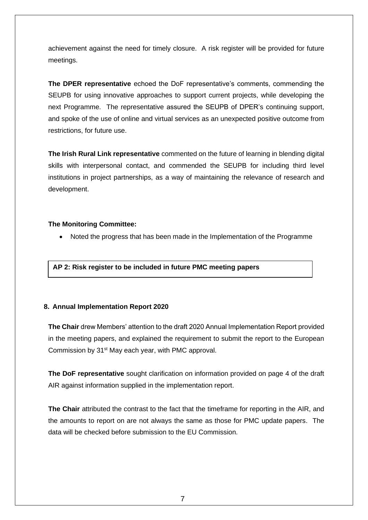achievement against the need for timely closure. A risk register will be provided for future meetings.

**The DPER representative** echoed the DoF representative's comments, commending the SEUPB for using innovative approaches to support current projects, while developing the next Programme. The representative assured the SEUPB of DPER's continuing support, and spoke of the use of online and virtual services as an unexpected positive outcome from restrictions, for future use.

**The Irish Rural Link representative** commented on the future of learning in blending digital skills with interpersonal contact, and commended the SEUPB for including third level institutions in project partnerships, as a way of maintaining the relevance of research and development.

#### **The Monitoring Committee:**

• Noted the progress that has been made in the Implementation of the Programme

#### **AP 2: Risk register to be included in future PMC meeting papers**

#### **8. Annual Implementation Report 2020**

**The Chair** drew Members' attention to the draft 2020 Annual Implementation Report provided in the meeting papers, and explained the requirement to submit the report to the European Commission by 31<sup>st</sup> May each year, with PMC approval.

**The DoF representative** sought clarification on information provided on page 4 of the draft AIR against information supplied in the implementation report.

**The Chair** attributed the contrast to the fact that the timeframe for reporting in the AIR, and the amounts to report on are not always the same as those for PMC update papers. The data will be checked before submission to the EU Commission.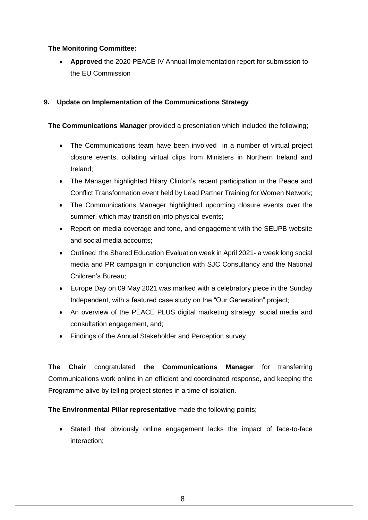### **The Monitoring Committee:**

• **Approved** the 2020 PEACE IV Annual Implementation report for submission to the EU Commission

## **9. Update on Implementation of the Communications Strategy**

## **The Communications Manager** provided a presentation which included the following;

- The Communications team have been involved in a number of virtual project closure events, collating virtual clips from Ministers in Northern Ireland and Ireland;
- The Manager highlighted Hilary Clinton's recent participation in the Peace and Conflict Transformation event held by Lead Partner Training for Women Network;
- The Communications Manager highlighted upcoming closure events over the summer, which may transition into physical events;
- Report on media coverage and tone, and engagement with the SEUPB website and social media accounts;
- Outlined the Shared Education Evaluation week in April 2021- a week long social media and PR campaign in conjunction with SJC Consultancy and the National Children's Bureau;
- Europe Day on 09 May 2021 was marked with a celebratory piece in the Sunday Independent, with a featured case study on the "Our Generation" project;
- An overview of the PEACE PLUS digital marketing strategy, social media and consultation engagement, and;
- Findings of the Annual Stakeholder and Perception survey.

**The Chair** congratulated **the Communications Manager** for transferring Communications work online in an efficient and coordinated response, and keeping the Programme alive by telling project stories in a time of isolation.

#### **The Environmental Pillar representative** made the following points;

• Stated that obviously online engagement lacks the impact of face-to-face interaction;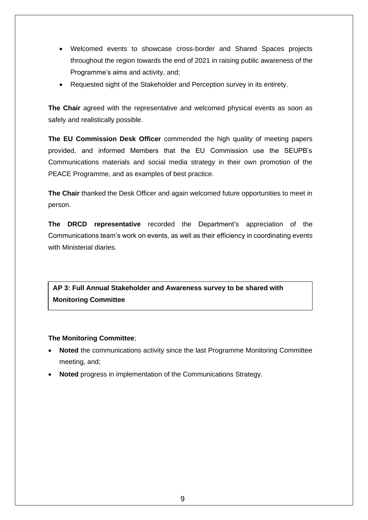- Welcomed events to showcase cross-border and Shared Spaces projects throughout the region towards the end of 2021 in raising public awareness of the Programme's aims and activity, and;
- Requested sight of the Stakeholder and Perception survey in its entirety.

**The Chair** agreed with the representative and welcomed physical events as soon as safely and realistically possible.

**The EU Commission Desk Officer** commended the high quality of meeting papers provided, and informed Members that the EU Commission use the SEUPB's Communications materials and social media strategy in their own promotion of the PEACE Programme, and as examples of best practice.

**The Chair** thanked the Desk Officer and again welcomed future opportunities to meet in person.

**The DRCD representative** recorded the Department's appreciation of the Communications team's work on events, as well as their efficiency in coordinating events with Ministerial diaries.

## **AP 3: Full Annual Stakeholder and Awareness survey to be shared with Monitoring Committee**

#### **The Monitoring Committee**;

- **Noted** the communications activity since the last Programme Monitoring Committee meeting, and;
- **Noted** progress in implementation of the Communications Strategy.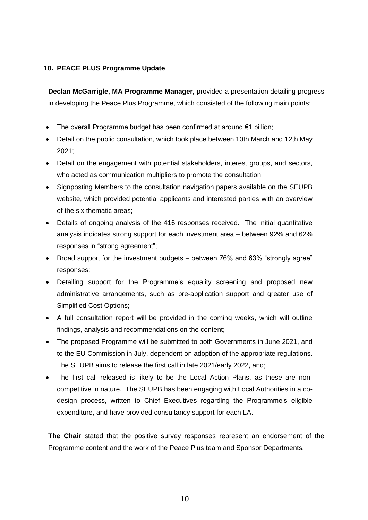#### **10. PEACE PLUS Programme Update**

**Declan McGarrigle, MA Programme Manager,** provided a presentation detailing progress in developing the Peace Plus Programme, which consisted of the following main points;

- The overall Programme budget has been confirmed at around  $\epsilon$ 1 billion;
- Detail on the public consultation, which took place between 10th March and 12th May 2021;
- Detail on the engagement with potential stakeholders, interest groups, and sectors, who acted as communication multipliers to promote the consultation;
- Signposting Members to the consultation navigation papers available on the SEUPB website, which provided potential applicants and interested parties with an overview of the six thematic areas;
- Details of ongoing analysis of the 416 responses received. The initial quantitative analysis indicates strong support for each investment area – between 92% and 62% responses in "strong agreement";
- Broad support for the investment budgets between 76% and 63% "strongly agree" responses;
- Detailing support for the Programme's equality screening and proposed new administrative arrangements, such as pre-application support and greater use of Simplified Cost Options;
- A full consultation report will be provided in the coming weeks, which will outline findings, analysis and recommendations on the content;
- The proposed Programme will be submitted to both Governments in June 2021, and to the EU Commission in July, dependent on adoption of the appropriate regulations. The SEUPB aims to release the first call in late 2021/early 2022, and;
- The first call released is likely to be the Local Action Plans, as these are noncompetitive in nature. The SEUPB has been engaging with Local Authorities in a codesign process, written to Chief Executives regarding the Programme's eligible expenditure, and have provided consultancy support for each LA.

**The Chair** stated that the positive survey responses represent an endorsement of the Programme content and the work of the Peace Plus team and Sponsor Departments.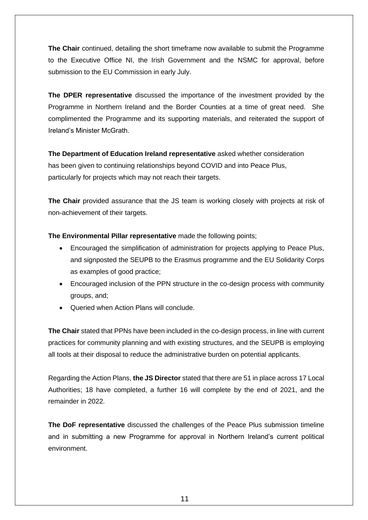**The Chair** continued, detailing the short timeframe now available to submit the Programme to the Executive Office NI, the Irish Government and the NSMC for approval, before submission to the EU Commission in early July.

**The DPER representative** discussed the importance of the investment provided by the Programme in Northern Ireland and the Border Counties at a time of great need. She complimented the Programme and its supporting materials, and reiterated the support of Ireland's Minister McGrath.

**The Department of Education Ireland representative** asked whether consideration has been given to continuing relationships beyond COVID and into Peace Plus, particularly for projects which may not reach their targets.

**The Chair** provided assurance that the JS team is working closely with projects at risk of non-achievement of their targets.

**The Environmental Pillar representative** made the following points;

- Encouraged the simplification of administration for projects applying to Peace Plus, and signposted the SEUPB to the Erasmus programme and the EU Solidarity Corps as examples of good practice;
- Encouraged inclusion of the PPN structure in the co-design process with community groups, and;
- Queried when Action Plans will conclude.

**The Chair** stated that PPNs have been included in the co-design process, in line with current practices for community planning and with existing structures, and the SEUPB is employing all tools at their disposal to reduce the administrative burden on potential applicants.

Regarding the Action Plans, **the JS Director** stated that there are 51 in place across 17 Local Authorities; 18 have completed, a further 16 will complete by the end of 2021, and the remainder in 2022.

**The DoF representative** discussed the challenges of the Peace Plus submission timeline and in submitting a new Programme for approval in Northern Ireland's current political environment.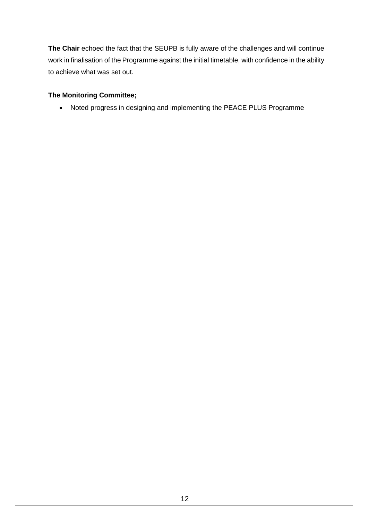**The Chair** echoed the fact that the SEUPB is fully aware of the challenges and will continue work in finalisation of the Programme against the initial timetable, with confidence in the ability to achieve what was set out.

## **The Monitoring Committee;**

• Noted progress in designing and implementing the PEACE PLUS Programme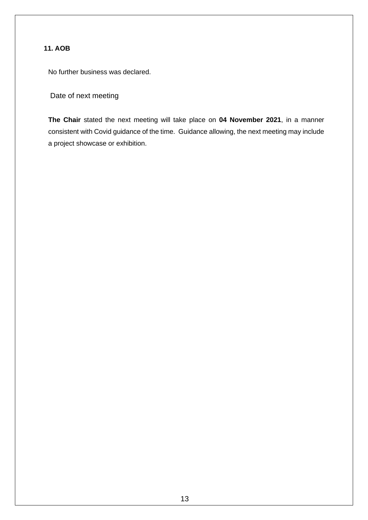### **11. AOB**

No further business was declared.

Date of next meeting

**The Chair** stated the next meeting will take place on **04 November 2021**, in a manner consistent with Covid guidance of the time. Guidance allowing, the next meeting may include a project showcase or exhibition.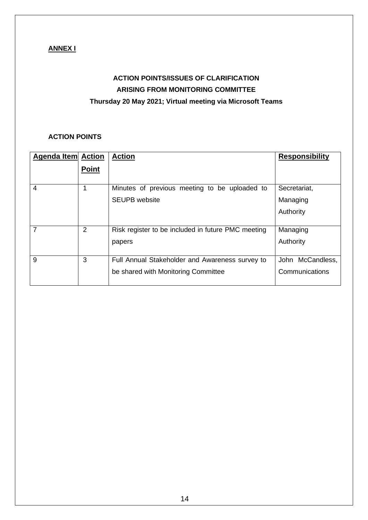## **ANNEX I**

# **ACTION POINTS/ISSUES OF CLARIFICATION ARISING FROM MONITORING COMMITTEE Thursday 20 May 2021; Virtual meeting via Microsoft Teams**

## **ACTION POINTS**

| <b>Agenda Item Action</b> |       | <b>Action</b>                                      | <b>Responsibility</b> |
|---------------------------|-------|----------------------------------------------------|-----------------------|
|                           | Point |                                                    |                       |
| 4                         | 1     | Minutes of previous meeting to be uploaded to      | Secretariat,          |
|                           |       | <b>SEUPB</b> website                               | Managing              |
|                           |       |                                                    | Authority             |
| 7                         | 2     | Risk register to be included in future PMC meeting | Managing              |
|                           |       | papers                                             | Authority             |
| 9                         | 3     | Full Annual Stakeholder and Awareness survey to    | John McCandless,      |
|                           |       | be shared with Monitoring Committee                | Communications        |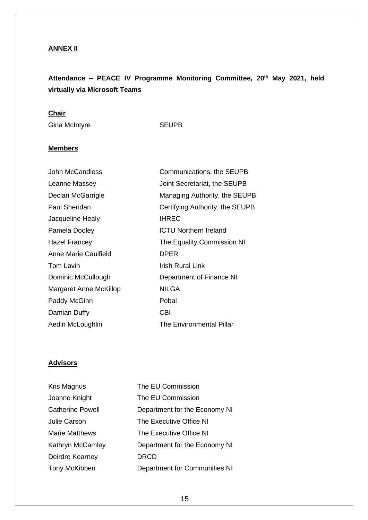## **ANNEX II**

## **Attendance – PEACE IV Programme Monitoring Committee, 20th May 2021, held virtually via Microsoft Teams**

## **Chair**

Gina McIntyre SEUPB

## **Members**

| <b>John McCandless</b> | Communications, the SEUPB       |
|------------------------|---------------------------------|
| Leanne Massey          | Joint Secretariat, the SEUPB    |
| Declan McGarrigle      | Managing Authority, the SEUPB   |
| Paul Sheridan          | Certifying Authority, the SEUPB |
| Jacqueline Healy       | <b>IHREC</b>                    |
| Pamela Dooley          | <b>ICTU Northern Ireland</b>    |
| Hazel Francey          | The Equality Commission NI      |
| Anne Marie Caulfield   | <b>DPER</b>                     |
| Tom Lavin              | Irish Rural Link                |
| Dominic McCullough     | Department of Finance NI        |
| Margaret Anne McKillop | <b>NILGA</b>                    |
| Paddy McGinn           | Pobal                           |
| Damian Duffy           | <b>CBI</b>                      |
| Aedin McLoughlin       | <b>The Environmental Pillar</b> |

## **Advisors**

| Kris Magnus             | The EU Commission             |
|-------------------------|-------------------------------|
| Joanne Knight           | The EU Commission             |
| <b>Catherine Powell</b> | Department for the Economy NI |
| <b>Julie Carson</b>     | The Executive Office NI       |
| <b>Marie Matthews</b>   | The Executive Office NI       |
| Kathryn McCamley        | Department for the Economy NI |
| Deirdre Kearney         | <b>DRCD</b>                   |
| <b>Tony McKibben</b>    | Department for Communities NI |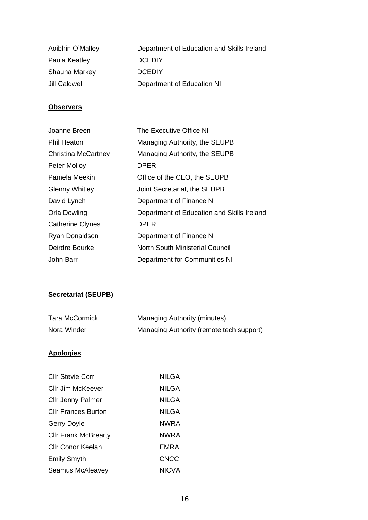| Aoibhin O'Malley | Department of Education and Skills Ireland |
|------------------|--------------------------------------------|
| Paula Keatley    | <b>DCEDIY</b>                              |
| Shauna Markey    | <b>DCEDIY</b>                              |
| Jill Caldwell    | Department of Education NI                 |

## **Observers**

| Joanne Breen               | The Executive Office NI                    |
|----------------------------|--------------------------------------------|
| <b>Phil Heaton</b>         | Managing Authority, the SEUPB              |
| <b>Christina McCartney</b> | Managing Authority, the SEUPB              |
| Peter Molloy               | DPER                                       |
| Pamela Meekin              | Office of the CEO, the SEUPB               |
| <b>Glenny Whitley</b>      | Joint Secretariat, the SEUPB               |
| David Lynch                | Department of Finance NI                   |
| Orla Dowling               | Department of Education and Skills Ireland |
| <b>Catherine Clynes</b>    | DPER                                       |
| Ryan Donaldson             | Department of Finance NI                   |
| Deirdre Bourke             | <b>North South Ministerial Council</b>     |
| John Barr                  | Department for Communities NI              |

## **Secretariat (SEUPB)**

| <b>Tara McCormick</b> | <b>Managing Authority (minutes)</b>      |
|-----------------------|------------------------------------------|
| Nora Winder           | Managing Authority (remote tech support) |

## **Apologies**

| <b>CIIr Stevie Corr</b>     | <b>NILGA</b> |
|-----------------------------|--------------|
| Cllr Jim McKeever           | <b>NILGA</b> |
| <b>Cllr Jenny Palmer</b>    | <b>NILGA</b> |
| <b>Cllr Frances Burton</b>  | <b>NILGA</b> |
| Gerry Doyle                 | <b>NWRA</b>  |
| <b>CIIr Frank McBrearty</b> | <b>NWRA</b>  |
| Cllr Conor Keelan           | <b>EMRA</b>  |
| <b>Emily Smyth</b>          | <b>CNCC</b>  |
| Seamus McAleavey            | <b>NICVA</b> |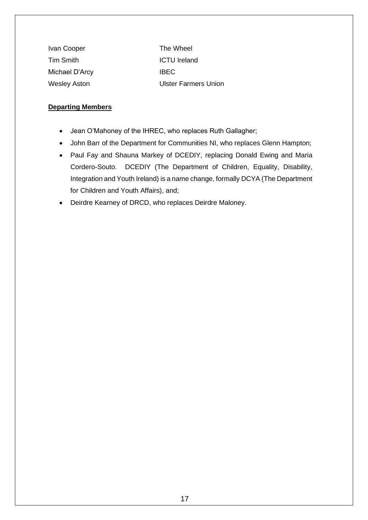Ivan Cooper The Wheel Tim Smith **ICTU** Ireland Michael D'Arcy **IBEC** Wesley Aston **Ulster Farmers Union** 

### **Departing Members**

- Jean O'Mahoney of the IHREC, who replaces Ruth Gallagher;
- John Barr of the Department for Communities NI, who replaces Glenn Hampton;
- Paul Fay and Shauna Markey of DCEDIY, replacing Donald Ewing and Maria Cordero-Souto. DCEDIY (The Department of Children, Equality, Disability, Integration and Youth Ireland) is a name change, formally DCYA (The Department for Children and Youth Affairs), and;
- Deirdre Kearney of DRCD, who replaces Deirdre Maloney.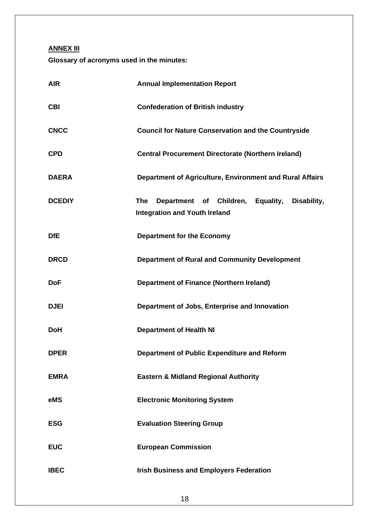**ANNEX III**

**Glossary of acronyms used in the minutes:**

| <b>AIR</b>    | <b>Annual Implementation Report</b>                                                                       |
|---------------|-----------------------------------------------------------------------------------------------------------|
| <b>CBI</b>    | <b>Confederation of British industry</b>                                                                  |
| <b>CNCC</b>   | <b>Council for Nature Conservation and the Countryside</b>                                                |
| <b>CPD</b>    | <b>Central Procurement Directorate (Northern Ireland)</b>                                                 |
| <b>DAERA</b>  | Department of Agriculture, Environment and Rural Affairs                                                  |
| <b>DCEDIY</b> | Children, Equality,<br>Disability,<br><b>The</b><br>Department of<br><b>Integration and Youth Ireland</b> |
| <b>DfE</b>    | <b>Department for the Economy</b>                                                                         |
| <b>DRCD</b>   | <b>Department of Rural and Community Development</b>                                                      |
| <b>DoF</b>    | <b>Department of Finance (Northern Ireland)</b>                                                           |
| <b>DJEI</b>   | Department of Jobs, Enterprise and Innovation                                                             |
| <b>DoH</b>    | <b>Department of Health NI</b>                                                                            |
| <b>DPER</b>   | Department of Public Expenditure and Reform                                                               |
| <b>EMRA</b>   | <b>Eastern &amp; Midland Regional Authority</b>                                                           |
| eMS           | <b>Electronic Monitoring System</b>                                                                       |
| <b>ESG</b>    | <b>Evaluation Steering Group</b>                                                                          |
| <b>EUC</b>    | <b>European Commission</b>                                                                                |
| <b>IBEC</b>   | <b>Irish Business and Employers Federation</b>                                                            |